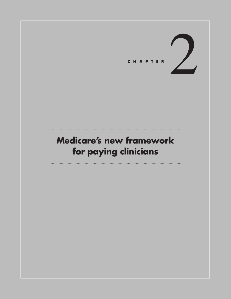

# **Medicare's new framework for paying clinicians**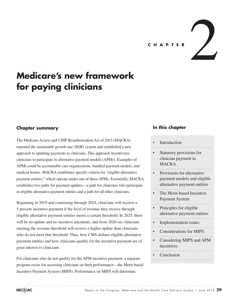**<sup>C</sup> <sup>H</sup> <sup>A</sup> PTE <sup>R</sup>**2

# **Medicare's new framework for paying clinicians**

# **Chapter summary**

The Medicare Access and CHIP Reauthorization Act of 2015 (MACRA) repealed the sustainable growth rate (SGR) system and established a new approach to updating payments to clinicians. This approach incentivizes clinicians to participate in alternative payment models (APMs). Examples of APMs could be accountable care organizations, bundled payment models, and medical homes. MACRA establishes specific criteria for "eligible alternative payment entities," which operate under one of these APMs. Essentially, MACRA establishes two paths for payment updates—a path for clinicians who participate in eligible alternative payment entities and a path for all other clinicians.

Beginning in 2019 and continuing through 2024, clinicians will receive a 5 percent incentive payment if the level of revenue they receive through eligible alternative payment entities meets a certain threshold. In 2025, there will be no update and no incentive payments, and from 2026 on, clinicians meeting the revenue threshold will receive a higher update than clinicians who do not meet that threshold. Thus, how CMS defines eligible alternative payment entities and how clinicians qualify for the incentive payment are of great interest to clinicians.

For clinicians who do not qualify for the APM incentive payment, a separate program exists for assessing clinicians on their performance—the Merit-based Incentive Payment System (MIPS). Performance on MIPS will determine

# **In this chapter**

#### **Introduction**

- Statutory provisions for clinician payment in **MACRA**
- Provisions for alternative payment models and eligible alternative payment entities
- The Merit-based Incentive Payment System
- Principles for eligible alternative payment entities
- Implementation issues
- Considerations for MIPS
- Considering MIPS and APM incentives
- • Conclusion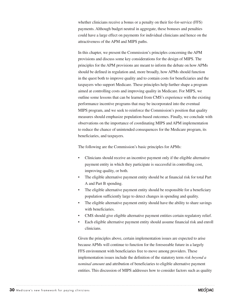whether clinicians receive a bonus or a penalty on their fee-for-service (FFS) payments. Although budget neutral in aggregate, these bonuses and penalties could have a large effect on payments for individual clinicians and hence on the attractiveness of the APM and MIPS paths.

In this chapter, we present the Commission's principles concerning the APM provisions and discuss some key considerations for the design of MIPS. The principles for the APM provisions are meant to inform the debate on how APMs should be defined in regulation and, more broadly, how APMs should function in the quest both to improve quality and to contain costs for beneficiaries and the taxpayers who support Medicare. These principles help further shape a program aimed at controlling costs and improving quality in Medicare. For MIPS, we outline some lessons that can be learned from CMS's experience with the existing performance incentive programs that may be incorporated into the eventual MIPS program, and we seek to reinforce the Commission's position that quality measures should emphasize population-based outcomes. Finally, we conclude with observations on the importance of coordinating MIPS and APM implementation to reduce the chance of unintended consequences for the Medicare program, its beneficiaries, and taxpayers.

The following are the Commission's basic principles for APMs:

- Clinicians should receive an incentive payment only if the eligible alternative payment entity in which they participate is successful in controlling cost, improving quality, or both.
- The eligible alternative payment entity should be at financial risk for total Part A and Part B spending.
- The eligible alternative payment entity should be responsible for a beneficiary population sufficiently large to detect changes in spending and quality.
- The eligible alternative payment entity should have the ability to share savings with beneficiaries.
- CMS should give eligible alternative payment entities certain regulatory relief.
- Each eligible alternative payment entity should assume financial risk and enroll clinicians.

Given the principles above, certain implementation issues are expected to arise because APMs will continue to function for the foreseeable future in a largely FFS environment with beneficiaries free to move among providers. These implementation issues include the definition of the statutory term *risk beyond a nominal amount* and attribution of beneficiaries to eligible alternative payment entities. This discussion of MIPS addresses how to consider factors such as quality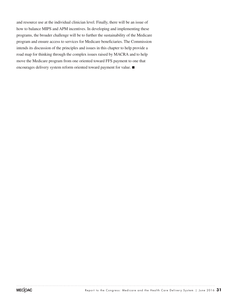and resource use at the individual clinician level. Finally, there will be an issue of how to balance MIPS and APM incentives. In developing and implementing these programs, the broader challenge will be to further the sustainability of the Medicare program and ensure access to services for Medicare beneficiaries. The Commission intends its discussion of the principles and issues in this chapter to help provide a road map for thinking through the complex issues raised by MACRA and to help move the Medicare program from one oriented toward FFS payment to one that encourages delivery system reform oriented toward payment for value. ■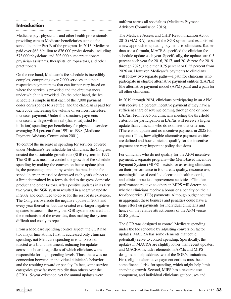# **Introduction**

Medicare pays physicians and other health professionals providing care to Medicare beneficiaries using a fee schedule under Part B of the program. In 2013, Medicare paid over \$68.6 billion to 876,000 professionals, including 573,000 physicians and 303,000 nurse practitioners, physician assistants, therapists, chiropractors, and other practitioners.

On the one hand, Medicare's fee schedule is incredibly complex, comprising over 7,000 services and their respective payment rates that can further vary based on where the service is provided and the circumstances under which it is provided. On the other hand, the fee schedule is simple in that each of the 7,000 payment codes corresponds to a set fee, and the clinician is paid for each code. Increasing the volume of services, therefore, increases payment. Under this structure, payments increased, with growth in real (that is, adjusted for inflation) spending per beneficiary for physician services averaging 2.4 percent from 1991 to 1998 (Medicare Payment Advisory Commission 2001).

To control the increase in spending for services covered under Medicare's fee schedule for clinicians, the Congress created the sustainable growth rate (SGR) system in 1997. The SGR was meant to control the growth of fee schedule spending by making the conversion factor update (that is, the percentage amount by which the rates in the fee schedule are increased or decreased each year) subject to a limit determined by a formula tied to the gross domestic product and other factors. After positive updates in its first two years, the SGR system resulted in a negative update in 2002 and continued to do so for the rest of its existence. The Congress overrode the negative update in 2003 and every year thereafter, but this created ever-larger negative updates because of the way the SGR system operated and the mechanism of the overrides, thus making the system difficult and costly to repeal.

From a Medicare spending control aspect, the SGR had two major limitations. First, it addressed only clinician spending, not Medicare spending in total. Second, it acted as a blunt instrument, reducing fee updates across the board, regardless of which clinicians were responsible for high spending levels. Thus, there was no connection between an individual clinician's behavior and the resulting reward or penalty. In fact, some service categories grew far more rapidly than others over the SGR's 15-year existence, yet the annual updates were

uniform across all specialties (Medicare Payment Advisory Commission 2016).

The Medicare Access and CHIP Reauthorization Act of 2015 (MACRA) repealed the SGR system and established a new approach to updating payments to clinicians. Rather than use a formula, MACRA specified the clinician fee schedule update each year. Specifically, the updates are 0.5 percent each year for 2016, 2017, and 2018; zero for 2019 through 2025; and either 0.75 percent or 0.25 percent from 2026 on. However, Medicare's payments to clinicians will follow two separate paths—a path for clinicians who participate in eligible alternative payment entities (EAPEs) (the alternative payment model (APM) path) and a path for all other clinicians.

In 2019 through 2024, clinicians participating in an APM will receive a 5 percent incentive payment if they have a sufficient share of revenue coming through one or more EAPEs. From 2026 on, clinicians meeting the threshold criterion for participation in EAPEs will receive a higher update than clinicians who do not meet that criterion. (There is no update and no incentive payment in 2025 for anyone.) Thus, how eligible alternative payment entities are defined and how clinicians qualify for the incentive payment are very important policy decisions.

For clinicians who do not qualify for the APM incentive payment, a separate program—the Merit-based Incentive Payment System (MIPS)—exists for assessing clinicians on their performance in four areas: quality, resource use, meaningful use of certified electronic health records, and clinical practice improvement activities. Clinician performance relative to others in MIPS will determine whether clinicians receive a bonus or a penalty on their fee-for-service (FFS) payments. Although budget neutral in aggregate, these bonuses and penalties could have a large effect on payments for individual clinicians and hence on the relative attractiveness of the APM versus MIPS paths. $<sup>1</sup>$ </sup>

The SGR was designed to control Medicare spending under the fee schedule by adjusting conversion factor updates. MACRA has some elements that could potentially serve to control spending. Specifically, the updates in MACRA are slightly lower than recent updates, and MACRA includes elements in APMs and MIPS designed to help address two of the SGR's limitations. First, eligible alternative payment entities must bear some financial risk for spending, which might help limit spending growth. Second, MIPS has a resource use component, and individual clinicians get bonuses and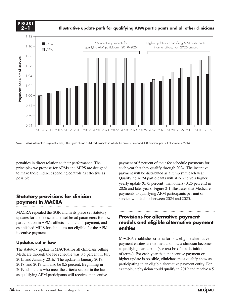

penalties in direct relation to their performance. The principles we propose for APMs and MIPS are designed to make these indirect spending controls as effective as possible.

# **Statutory provisions for clinician Notes about this graph: payment in MACRA** • Data is in the datasheet. Make updates in the datasheet.

MACRA repealed the SGR and in its place set statutory **WACRA** repealed the SGR and in its place set statutory updates for the fee schedule, set broad parameters for how participation in APMs affects a clinician's payment, and incentive payment.

# Updates set in law

The statutory update in MACRA for all clinicians billing Fire statutory update in MACKA for an eminerally bining the sequence of term Medicare through the fee schedule was 0.5 percent in July of term 2015 and January 2016.<sup>2</sup> The update in January 2017, higher update is possible, clinicians m 2018, and 2019 will also be 0.5 percent. Beginning in 2019, clinicians who meet the criteria set out in the law as qualifying APM participants will receive an incentive

payment of 5 percent of their fee schedule payments for each year that they qualify through 2024. The incentive payment will be distributed as a lump sum each year. Qualifying APM participants will also receive a higher yearly update (0.75 percent) than others (0.25 percent) in 2026 and later years. Figure 2-1 illustrates that Medicare payments to qualifying APM participants per unit of service will decline between 2024 and 2025.

#### **Provisions for alternative payment models and eligible alternative payment entities** paracipation in A Ms ancels a chinetal b payment, and **included any engine and response they have payment**<br>established MIPS for clinicians not eligible for the APM **entities**

MACRA establishes criteria for how eligible alternative  $\mathbf{M}$ . payment entities are defined and how a clinician becomes a qualifying participant (see text box for a definition of terms). For each year that an incentive payment or higher update is possible, clinicians must qualify anew as participating in an eligible alternative payment entity. For example, a physician could qualify in 2019 and receive a 5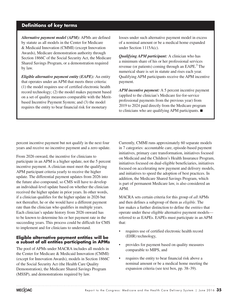# **Definitions of key terms**

*Alternative payment model (APM):* APMs are defined by statute as all models in the Center for Medicare & Medicaid Innovation (CMMI) (except Innovation Awards), Medicare demonstration authority through Section 1866C of the Social Security Act, the Medicare Shared Savings Program, or a demonstration required by law.

*Eligible alternative payment entity (EAPE):* An entity that operates under an APM that meets three criteria: (1) the model requires use of certified electronic health record technology; (2) the model makes payment based on a set of quality measures comparable with the Meritbased Incentive Payment System; and (3) the model requires the entity to bear financial risk for monetary

losses under such alternative payment model in excess of a nominal amount or be a medical home expanded under Section 1115A(c).

*Qualifying APM participant:* A clinician who has a minimum share of his or her professional services revenue (or patients) coming through an EAPE. $3$  The numerical share is set in statute and rises each year. Qualifying APM participants receive the APM incentive payment.

*APM incentive payment:* A 5 percent incentive payment (applied to the clinician's Medicare fee-for-service professional payments from the previous year) from 2019 to 2024 paid directly from the Medicare program to clinicians who are qualifying APM participants. ■

percent incentive payment but not qualify in the next four years and receive no incentive payment and a zero update.

From 2026 onward, the incentive for clinicians to participate in an APM is a higher update, not the 5 percent incentive payment. A clinician must meet the qualifying APM participant criteria yearly to receive the higher update. The differential payment updates from 2026 into the future also compound, so CMS will have to develop an individual-level update based on whether the clinician received the higher update in prior years. In other words, if a clinician qualifies for the higher update in 2026 but not thereafter, he or she would have a different payment rate than the clinician who qualifies in multiple years. Each clinician's update history from 2026 onward has to be known to determine his or her payment rate in the succeeding years. This process could be difficult for CMS to implement and for clinicians to understand.

#### **Eligible alternative payment entities will be a subset of all entities participating in APMs**

The pool of APMs under MACRA includes all models in the Center for Medicare & Medicaid Innovation (CMMI) (except for Innovation Awards), models in Section 1866C of the Social Security Act (the Health Care Quality Demonstration), the Medicare Shared Savings Program (MSSP), and demonstrations required by law.

Currently, CMMI runs approximately 60 separate models in 7 categories: accountable care, episode-based payment initiatives, primary care transformation, initiatives focused on Medicaid and the Children's Health Insurance Program, initiatives focused on dual-eligible beneficiaries, initiatives focused on accelerating new payment and delivery models, and initiatives to speed the adoption of best practices. In addition, the Medicare Shared Savings Program, which is part of permanent Medicare law, is also considered an APM.

MACRA sets certain criteria for this group of *all* APMs and then defines a subgroup of them as *eligible*. The law makes a further distinction to define the *entities* that operate under these eligible alternative payment models referred to as EAPEs. EAPEs must participate in an APM that:

- requires use of certified electronic health record (EHR) technology,
- provides for payment based on quality measures comparable to MIPS, and
- requires the entity to bear financial risk above a nominal amount or be a medical home meeting the expansion criteria (see text box, pp. 38–39).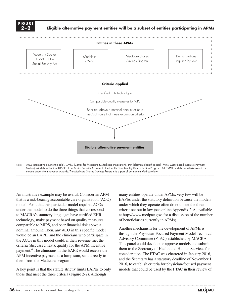#### **F i g ure 2–2**

**Eligible alternative payment entities will be a subset of entities participating in APMs**



An illustrative example may be useful. Consider an APM that is a risk-bearing accountable care organization (ACO) model. Posit that this particular model requires ACOs under the model to do the three things that correspond to MACRA's statutory language: have certified EHR technology, make payment based on quality measures comparable to MIPS, and bear financial risk above a nominal amount. Then, any ACO in this specific model would be an EAPE, and the clinicians who participate in the ACOs in this model could, if their revenue met the criteria (discussed next), qualify for the APM incentive payment.<sup>4</sup> The clinicians in the EAPE would receive the APM incentive payment as a lump sum, sent directly to them from the Medicare program.

A key point is that the statute strictly limits EAPEs to only those that meet the three criteria (Figure 2-2). Although

many entities operate under APMs, very few will be EAPEs under the statutory definition because the models under which they operate often do not meet the three criteria set out in law (see online Appendix 2-A, available at http://www.medpac.gov, for a discussion of the number of beneficiaries currently in APMs).

Another mechanism for the development of APMs is through the Physician-Focused Payment Model Technical Advisory Committee (PTAC) established by MACRA. This panel could develop or approve models and submit them to the Secretary of Health and Human Services for consideration. The PTAC was chartered in January 2016, and the Secretary has a statutory deadline of November 1, 2016, to establish criteria for physician-focused payment models that could be used by the PTAC in their review of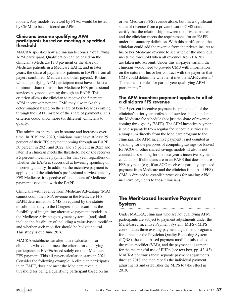models. Any models reviewed by PTAC would be tested by CMMI to be considered an APM.

#### **Clinicians become qualifying APM participants based on meeting a specified threshold**

MACRA specifies how a clinician becomes a qualifying APM participant. Qualification can be based on the clinician's Medicare FFS payment or the share of Medicare patients in a Medicare EAPE, and in later years, the share of payment or patients in EAPEs from all payers combined (Medicare and other payers). To start with, a qualifying APM participant must have at least a minimum share of his or her Medicare FFS professional services payments coming through an EAPE. This criterion allows the clinician to receive the 5 percent APM incentive payment. CMS may also make this determination based on the share of beneficiaries coming through the EAPE instead of the share of payments. This criterion could allow more (or different) clinicians to qualify.

The minimum share is set in statute and increases over time. In 2019 and 2020, clinicians must have at least 25 percent of their FFS payment coming through an EAPE, 50 percent in 2021 and 2022, and 75 percent in 2023 and later. If a clinician meets the threshold, he or she receives a 5 percent incentive payment for that year, regardless of whether the EAPE is successful at lowering spending or improving quality. In addition, the incentive payment is applied to all the clinician's professional services paid by FFS Medicare, irrespective of the amount of Medicare payment associated with the EAPE.

Clinicians with revenue from Medicare Advantage (MA) cannot count their MA revenue in the Medicare FFS EAPE determination. CMS is required by the statute to submit a study to the Congress that "examines the feasibility of integrating alternative payment models in the Medicare Advantage payment system…[and] shall include the feasibility of including a value-based modifier and whether such modifier should be budget neutral." This study is due June 2016.

MACRA establishes an alternative calculation for clinicians who do not meet the criteria for qualifying participants in EAPEs based solely on their Medicare FFS payment. This all-payer calculation starts in 2021. Consider the following example: A clinician participates in an EAPE, does not meet the Medicare revenue threshold for being a qualifying participant based on his

or her Medicare FFS revenue alone, but has a significant share of revenue from a private insurer. CMS could certify that the relationship between the private insurer and the clinician meets the requirements for an EAPE under the statutory definition. With this certification, the clinician could add the revenue from the private insurer to his or her Medicare revenue to see whether the individual meets the threshold when all revenues from EAPEs are taken into account. Under this all-payer variant, the clinician would need to provide CMS with information on the nature of his or her contract with the payer so that CMS could determine whether it met the EAPE criteria.<sup>5</sup> There are also rules for partial-year qualifying APM participants.<sup>6</sup>

#### **The APM incentive payment applies to all of a clinician's FFS revenue**

The 5 percent incentive payment is applied to all of the clinician's prior-year professional services billed under the Medicare fee schedule (not just the share of revenue coming through any EAPE). The APM incentive payment is paid separately from regular fee schedule services as a lump sum directly from the Medicare program to the clinician. The APM incentive payment is not counted as spending for the purposes of computing savings (or losses) for ACOs or other shared savings models. It also is not counted as spending for the next year's incentive payment calculation. If clinicians are in an EAPE that does not use FFS payment (e.g., if an ACO receives a partially capitated payment from Medicare and the clinician is not paid FFS), CMS is directed to establish processes for making APM incentive payments to those clinicians.<sup>7</sup>

# **The Merit-based Incentive Payment System**

Under MACRA, clinicians who are not qualifying APM participants are subject to payment adjustments under the Merit-based Incentive Payment System (MIPS). MIPS consolidates three existing payment adjustment programs for clinicians: the Physician Quality Reporting System (PQRS), the value-based payment modifier (also called the value modifier (VM)), and the payment adjustment for the meaningful use of EHRs (see text box, pp. 42–43). MACRA continues these separate payment adjustments through 2018 and then repeals the individual payment adjustments and establishes the MIPS to take effect in 2019.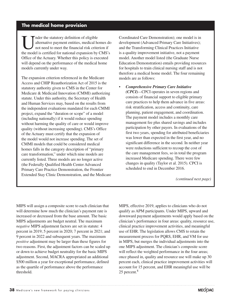# **The medical home provision**

Inder the statutory definition of eligible<br>
alternative payment entities, medical homes d<br>
not need to meet the financial risk criterion if<br>
the model is certified for national expension by CMS's alternative payment entities, medical homes do the model is certified for national expansion by CMS's Office of the Actuary. Whether this policy is executed will depend on the performance of the medical home models currently under way.

The expansion criterion referenced in the Medicare Access and CHIP Reauthorization Act of 2015 is the statutory authority given to CMS in the Center for Medicare & Medicaid Innovation (CMMI) authorizing statute. Under this authority, the Secretary of Health and Human Services may, based on the results from the independent evaluations mandated for each CMMI project, expand the "duration or scope" of a model (including nationally) if it would reduce spending without harming the quality of care or would improve quality (without increasing spending). CMS's Office of the Actuary must certify that the expansion of the model would not increase spending. The set of CMMI models that could be considered medical homes falls in the category description of "primary care transformation," under which nine models are currently listed. Three models are no longer active (the Federally Qualified Health Center Advanced Primary Care Practice Demonstration, the Frontier Extended Stay Clinic Demonstration, and the Medicare Coordinated Care Demonstration); one model is in development (Advanced Primary Care Initiatives); and the Transforming Clinical Practices Initiative is a quality improvement initiative, not a payment model. Another model listed (the Graduate Nurse Education Demonstration) entails providing resources for hospitals to train clinical nursing staff and is not therefore a medical home model. The four remaining models are as follows:

• *Comprehensive Primary Care Initiative (CPCI)—*CPCI operates in seven regions and consists of financial support to eligible primary care practices to help them advance in five areas: risk stratification, access and continuity, care planning, patient engagement, and coordination. The payment model includes a monthly care management fee plus shared savings and includes participation by other payers. In evaluations of the first two years, spending for attributed beneficiaries was lower than expected in the first year, and no significant difference in the second. In neither year were reductions sufficient to recoup the cost of the care management fees, so in total the program increased Medicare spending. There were few changes in quality (Taylor et al. 2015). CPCI is scheduled to end in December 2016.

*(continued next page)*

MIPS will assign a composite score to each clinician that will determine how much the clinician's payment rate is increased or decreased from the base amount. The basic MIPS adjustments are budget neutral. The maximum *negative* MIPS adjustment factors are set in statute: 4 percent in 2019; 5 percent in 2020; 7 percent in 2021; and 9 percent in 2022 and subsequent years. The maximum *positive* adjustment may be larger than these figures for two reasons. First, the adjustment factors can be scaled up or down to achieve budget neutrality for the basic MIPS adjustment. Second, MACRA appropriated an additional \$500 million a year for exceptional performance, defined as the quartile of performance above the performance threshold.

MIPS, effective 2019, applies to clinicians who do not qualify as APM participants. Under MIPS, upward and downward payment adjustments would apply based on the clinician's performance in four areas: quality, resource use, clinical practice improvement activities, and meaningful use of EHR. The legislation allows CMS to retain the measurement process for PQRS, EHR, and VM for use in MIPS, but merges the individual adjustments into the one MIPS adjustment. The clinician's composite score will reflect the weighted performance in the four areas; once phased in, quality and resource use will make up 30 percent each, clinical practice improvement activities will account for 15 percent, and EHR meaningful use will be 25 percent.<sup>8</sup>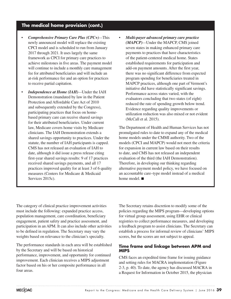# **The medical home provision (cont.)**

- *Comprehensive Primary Care Plus (CPC+)—*This newly announced model will replace the existing CPCI model and is scheduled to run from January 2017 through 2021. It uses largely the same framework as CPCI for primary care practices to achieve milestones in five areas. The payment model will continue to include a monthly care management fee for attributed beneficiaries and will include an at-risk performance fee and an option for practices to receive partial capitation.
- *Independence at Home (IAH)—*Under the IAH Demonstration (mandated by law in the Patient Protection and Affordable Care Act of 2010 and subsequently extended by the Congress), participating practices that focus on homebased primary care can receive shared savings for their attributed beneficiaries. Under current law, Medicare covers home visits by Medicare clinicians. The IAH Demonstration extends a shared savings opportunity to practices. Under the statute, the number of IAH participants is capped. CMS has not released an evaluation of IAH to date, although it did issue a press release citing first-year shared savings results: 9 of 17 practices received shared savings payments, and all 17 practices improved quality for at least 3 of 6 quality measures (Centers for Medicare & Medicaid Services 2015c).
- *Multi-payer advanced primary care practice (MAPCP)—*Under the MAPCP, CMS joined seven states in making enhanced primary care payments to practices that have characteristics of the patient-centered medical home. States established requirements for participation and add-on payment amounts. After the first year, there was no significant difference from expected program spending for beneficiaries treated in MAPCP practices, although one part of Vermont's initiative did have statistically significant savings. Performance across states varied, with the evaluators concluding that two states (of eight) reduced the rate of spending growth below trend. Evidence regarding quality improvements or utilization reduction was also mixed or not evident (McCall et al. 2015).

The Department of Health and Human Services has not promulgated rules to date to expand any of the medical home models under the CMMI authority. Two of the models (CPCI and MAPCP) would not meet the criteria for expansion in current law based on their results to date, and CMS has not released an independent evaluation of the third (the IAH Demonstration). Therefore, in developing our thinking regarding alternative payment model policy, we have focused on an accountable care–type model instead of a medical home model. ■

The category of clinical practice improvement activities must include the following: expanded practice access, population management, care coordination, beneficiary engagement, patient safety and practice assessment, and participation in an APM. It can also include other activities to be defined in regulation. The Secretary may vary the weights based on relevance to the clinician's specialty.

The performance standards in each area will be established by the Secretary and will be based on historical performance, improvement, and opportunity for continued improvement. Each clinician receives a MIPS adjustment factor based on his or her composite performance in all four areas.

The Secretary retains discretion to modify some of the policies regarding the MIPS program—developing options for virtual group assessment, using EHR or clinical registries to collect performance measures, and developing a feedback program to assist clinicians. The Secretary can establish a process for informal review of clinicians' MIPS scores, but the scores are not subject to appeal.

#### **Time frame and linkage between APM and MIPS**

CMS faces an expedited time frame for issuing guidance and setting rules for MACRA implementation (Figure 2-3, p. 40). To date, the agency has discussed MACRA in a Request for Information in October 2015, the physician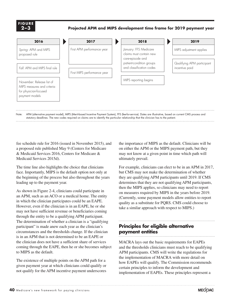**X-X F i g ure 2–3**

**Projected APM and MIPS development time frame for 2019 payment year**



statutory deadlines. The new codes required on claims are to identify the particular relationship that the clinician has to the patient.

fee schedule rule for 2016 (issued in November 2015), and a proposed rule published May 9 (Centers for Medicare & Medicaid Services 2016, Centers for Medicare & Medicaid Services 2015d).

The time line also highlights the choice that clinicians face. Importantly, MIPS is the default option not only at the beginning of the process but also throughout the years leading up to the payment year.

As shown in Figure 2-4, clinicians could participate in an APM, such as an ACO or a medical home. The entity in which the clinician participates could be an EAPE. However, even if the clinician is in an EAPE, he or she may not have sufficient revenue or beneficiaries coming through the entity to be a qualifying APM participant. The determination of whether a clinician is a "qualifying participant" is made anew each year as the clinician's circumstances and the thresholds change. If the clinician is in an APM that is not determined to be an EAPE or the clinician does not have a sufficient share of services coming through the EAPE, then he or she becomes subject to MIPS as the default.

The existence of multiple points on the APM path for a given payment year at which clinicians could qualify or not qualify for the APM incentive payment underscores the importance of MIPS as the default. Clinicians will be on either the APM or the MIPS payment path, but they may not know at a given point in time which path will ultimately prevail.

For example, clinicians can elect to be in an APM in 2017, but CMS may not make the determination of whether they are qualifying APM participants until 2019. If CMS determines that they are not qualifying APM participants, then the MIPS applies, so clinicians may need to report on measures required by MIPS in the years before 2019. (Currently, some payment models allow entities to report quality as a substitute for PQRS. CMS could choose to take a similar approach with respect to MIPS.)

# **Principles for eligible alternative payment entities**

MACRA lays out the basic requirements for EAPEs and the thresholds clinicians must reach to be qualifying APM participants. CMS will write the regulations for the implementation of MACRA with more detail on how EAPEs will qualify. The Commission recommends certain principles to inform the development and implementation of EAPEs. These principles represent a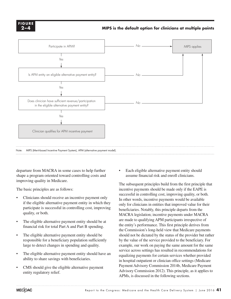

#### **MIPS is the default option for clinicians at multiple points**



departure from MACRA in some cases to help further shape a program oriented toward controlling costs and improving quality in Medicare.

The basic principles are as follows:

- Clinicians should receive an incentive payment only if the eligible alternative payment entity in which they participate is successful in controlling cost, improving quality, or both.
- The eligible alternative payment entity should be at financial risk for total Part A and Part B spending.
- The eligible alternative payment entity should be responsible for a beneficiary population sufficiently large to detect changes in spending and quality.
- The eligible alternative payment entity should have an ability to share savings with beneficiaries.
- CMS should give the eligible alternative payment entity regulatory relief.

Each eligible alternative payment entity should assume financial risk and enroll clinicians.

The subsequent principles build from the first principle that incentive payments should be made only if the EAPE is successful in controlling cost, improving quality, or both. In other words, incentive payments would be available only for clinicians in entities that improved value for their beneficiaries. Notably, this principle departs from the MACRA legislation; incentive payments under MACRA are made to qualifying APM participants irrespective of the entity's performance. This first principle derives from the Commission's long-held view that Medicare payments should not be dictated by the status of the provider but rather by the value of the service provided to the beneficiary. For example, our work on paying the same amount for the same service across settings has resulted in recommendations for equalizing payments for certain services whether provided in hospital outpatient or clinician office settings (Medicare Payment Advisory Commission 2014b, Medicare Payment Advisory Commission 2012). This principle, as it applies to APMs, is discussed in the following sections.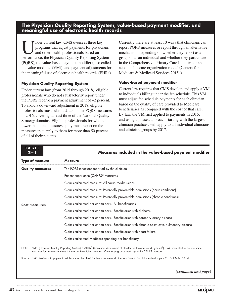**The Physician Quality Reporting System, value-based payment modifier, and meaningful use of electronic health records**

Imder current law, CMS oversees three key<br>programs that adjust payments for physician<br>and other health professionals based on<br>performance: the Physician Quality Beneting System programs that adjust payments for physicians and other health professionals based on performance: the Physician Quality Reporting System (PQRS), the value-based payment modifier (also called the value modifier (VM)), and payment adjustments for the meaningful use of electronic health records (EHRs).

#### **Physician Quality Reporting System**

**T ABL E**

Under current law (from 2015 through 2018), eligible professionals who do not satisfactorily report under the PQRS receive a payment adjustment of –2 percent. To avoid a downward adjustment in 2018, eligible professionals must submit data on nine PQRS measures in 2016, covering at least three of the National Quality Strategy domains. Eligible professionals for whom fewer than nine measures apply must report on the measures that apply to them for more than 50 percent of all of their patients.

Currently there are at least 10 ways that clinicians can report PQRS measures or report through an alternative mechanism, depending on whether they report as a group or as an individual and whether they participate in the Comprehensive Primary Care Initiative or an accountable care organization model (Centers for Medicare & Medicaid Services 2015a).

#### **Value-based payment modifier**

Current law requires that CMS develop and apply a VM to individuals billing under the fee schedule. This VM must adjust fee schedule payments for each clinician based on the quality of care provided to Medicare beneficiaries as compared with the cost of that care. By law, the VM first applied to payments in 2015, and using a phased approach starting with the largest clinician practices, will apply to all individual clinicians and clinician groups by 2017.

| $2 - 1$                 | Measures included in the value-based payment modifier<br><b>Measure</b>                                                                                                                                                                                             |  |  |  |
|-------------------------|---------------------------------------------------------------------------------------------------------------------------------------------------------------------------------------------------------------------------------------------------------------------|--|--|--|
| <b>Type of measure</b>  |                                                                                                                                                                                                                                                                     |  |  |  |
| <b>Quality measures</b> | The PQRS measures reported by the clinician                                                                                                                                                                                                                         |  |  |  |
|                         | Patient experience (CAHPS <sup>®</sup> measures)                                                                                                                                                                                                                    |  |  |  |
|                         | Claims-calculated measure: All-cause readmissions                                                                                                                                                                                                                   |  |  |  |
|                         | Claims-calculated measure: Potentially preventable admissions (acute conditions)                                                                                                                                                                                    |  |  |  |
|                         | Claims-calculated measure: Potentially preventable admissions (chronic conditions)                                                                                                                                                                                  |  |  |  |
| <b>Cost measures</b>    | Claims-calculated per capita costs: All beneficiaries                                                                                                                                                                                                               |  |  |  |
|                         | Claims-calculated per capita costs: Beneficiaries with diabetes                                                                                                                                                                                                     |  |  |  |
|                         | Claims-calculated per capita costs: Beneficiaries with coronary artery disease                                                                                                                                                                                      |  |  |  |
|                         | Claims-calculated per capita costs: Beneficiaries with chronic obstructive pulmonary disease                                                                                                                                                                        |  |  |  |
|                         | Claims-calculated per capita costs: Beneficiaries with heart failure                                                                                                                                                                                                |  |  |  |
|                         | Claims-calculated Medicare spending per beneficiary                                                                                                                                                                                                                 |  |  |  |
| Note:                   | PQRS (Physician Quality Reporting System), CAHPS® (Consumer Assessment of Healthcare Providers and Systems®). CMS may elect to not use some<br>measures for certain clinicians if there are insufficient numbers. Only large groups must report the CAHPS measures. |  |  |  |
|                         |                                                                                                                                                                                                                                                                     |  |  |  |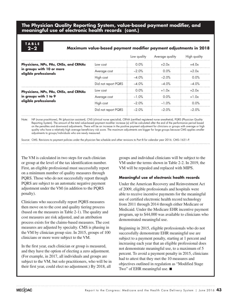#### **The Physician Quality Reporting System, value-based payment modifier, and meaningful use of electronic health records (cont.)**

**T ABL E**

#### **2–2 Maximum value-based payment modifier payment adjustments in 2018**

|                                                     |                     | Low quality | Average quality     | High quality        |
|-----------------------------------------------------|---------------------|-------------|---------------------|---------------------|
| Physicians, NPs, PAs, CNSs, and CRNAs               | Low cost            | $0.0\%$     | $+2.0x$             | $+4.0x$             |
| in groups with 10 or more<br>eligible professionals | Average cost        | $-2.0\%$    | $\Omega$ $\Omega\%$ | $+2.0x$             |
|                                                     | High cost           | $-4.0\%$    | $-2.0\%$            | 0.0%                |
|                                                     | Did not report PQRS | $-4.0%$     | $-4.0\%$            | $-4.0%$             |
| Physicians, NPs, PAs, CNSs, and CRNAs               | Low cost            | 0.0%        | $+1.0x$             | $+20x$              |
| in groups with 1 to 9                               | Average cost        | $-1.0%$     | 0.0%                | $+1.0x$             |
| eligible professionals                              | High cost           | $-2.0\%$    | $-1.0\%$            | $\Omega$ $\Omega\%$ |
|                                                     | Did not report PQRS | $-2.0\%$    | $-2.0\%$            | $-2.0\%$            |

Note: NP (nurse practitioner), PA (physician assistant), CNS (clinical nurse specialist), CRNA (certified registered nurse anesthetist), PQRS (Physician Quality Reporting System). The amount of the total value-based payment modifier increase (x) will be calculated after the end of the performance period based on the penalties and downward adjustments. There will be an increase in the positive payment adjustment for clinicians or groups with average or high quality who have a relatively high average beneficiary risk score. The maximum adjustments are bigger for large groups because CMS applies smaller adjustments to groups/individuals who are newly measured.

Source: CMS. Revisions to payment policies under the physician fee schedule and other revisions to Part B for calendar year 2016. CMS–1631–P.

The VM is calculated in two steps for each clinician or group at the level of the tax identification number. First, an eligible professional must successfully report on a minimum number of quality measures through PQRS. Those who do not successfully report through PQRS are subject to an automatic negative payment adjustment under the VM (in addition to the PQRS penalty).

Clinicians who successfully report PQRS measures then move on to the cost and quality tiering process (based on the measures in Table 2-1). The quality and cost measures are risk adjusted, and an attribution process exists for the claims-based measures. The cost measures are adjusted by specialty. CMS is phasing in the VM by clinician group size. In 2015, groups of 100 clinicians or more were subject to the VM.

In the first year, each clinician or group is measured, and they have the option of electing a zero adjustment. (For example, in 2017, all individuals and groups are subject to the VM, but solo practitioners, who will be in their first year, could elect no adjustment.) By 2018, all

groups and individual clinicians will be subject to the VM under the terms shown in Table 2-2. In 2019, the VM will be repealed and replaced with MIPS.

#### **Meaningful use of electronic health records**

Under the American Recovery and Reinvestment Act of 2009, eligible professionals and hospitals were able to receive incentive payments for the meaningful use of certified electronic health record technology from 2011 through 2014 through either Medicare or Medicaid. Under the Medicare EHR incentive payment program, up to \$44,000 was available to clinicians who demonstrated meaningful use.

Beginning in 2015, eligible professionals who do not successfully demonstrate EHR meaningful use are subject to a payment penalty, starting at 1 percent and increasing each year that an eligible professional does not demonstrate meaningful use, to a maximum of 5 percent. To avoid a payment penalty in 2015, clinicians had to attest that they met the 10 measures and objectives outlined in regulation as "Modified Stage Two" of EHR meaningful use. ■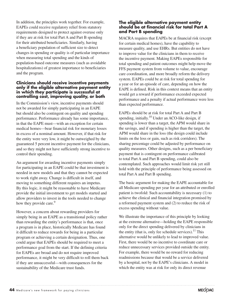In addition, the principles work together. For example, EAPEs could receive regulatory relief from statutory requirements designed to protect against overuse only if they are at risk for total Part A and Part B spending for their attributed beneficiaries. Similarly, having a beneficiary population of sufficient size to detect changes in spending or quality is of particular importance when measuring total spending and the kinds of population-based outcome measures (such as avoidable hospitalizations) of greatest importance to beneficiaries and the program.

#### **Clinicians should receive incentive payments only if the eligible alternative payment entity in which they participate is successful at controlling cost, improving quality, or both**

In the Commission's view, incentive payments should not be awarded for simply participating in an EAPE but should also be contingent on quality and spending performance. Performance already has some importance, in that the EAPE must—with an exception for certain medical homes—bear financial risk for monetary losses in excess of a nominal amount. However, if that risk for the entity were very low, it might be outweighed by the guaranteed 5 percent incentive payment for the clinicians, and so they might not have sufficiently strong incentive to control their spending.

An argument for awarding incentive payments simply for participating in an EAPE could be that investment is needed in new models and that they cannot be expected to work right away. Change is difficult in itself, and moving to something different requires an impetus. By this logic, it might be reasonable to have Medicare provide the initial investment to get models started and allow providers to invest in the tools needed to change how they provide care.<sup>9</sup>

However, a concern about rewarding providers for simply being in an EAPE as a transitional policy rather than rewarding the entity's performance is that, once a program is in place, historically Medicare has found it difficult to reduce rewards for being in a particular program or achieving a certain designation. Thus, one could argue that EAPEs should be required to meet a performance goal from the start. If the defining criteria for EAPEs are broad and do not require improved performance, it might be very difficult to roll them back if they are unsuccessful—with consequences for the sustainability of the Medicare trust funds.

#### **The eligible alternative payment entity should be at financial risk for total Part A and Part B spending**

MACRA requires that EAPEs be at financial risk (except for certain medical homes), have the capability to measure quality, and use EHRs. But entities do not have to improve value for the clinicians in them to receive the incentive payment. Making EAPEs responsible for total spending and patient outcomes might help move the FFS payment system from volume to value, encourage care coordination, and more broadly reform the delivery system. EAPEs could be at risk for total spending for a year or for an episode of care, depending on how the EAPE is defined. Risk in this context means that an entity would get a reward if performance exceeded expected performance and a penalty if actual performance were less than expected performance.

EAPEs should be at risk for total Part A and Part B spending, initially.<sup>10</sup> Under an ACO-like design, if spending is lower than a target, the APM would share in the savings, and if spending is higher than the target, the APM would share in the loss (the design could include limits on the loss or gain, such as risk corridors). The sharing percentage could be adjusted by performance on quality measures. Other designs, such as a per beneficiary payment that is contingent on performance calibrated to total Part A and Part B spending, could also be contemplated. Such approaches would limit risk yet still hold with the principle of performance being assessed on total Part A and Part B spending.

The basic argument for making the EAPE accountable for all Medicare spending per year for an attributed or enrolled patient is twofold: Such accountability is necessary (1) to achieve the clinical and financial integration promised by a reformed payment system and (2) to reduce the risk of excess spending without value.

We illustrate the importance of this principle by looking at the extreme alternative—holding the EAPE responsible only for the direct spending delivered by clinicians in the entity (that is, only fee schedule services).<sup>11</sup> This alternative would be unlikely to lead to improved value. First, there would be no incentive to coordinate care or reduce unnecessary services provided outside the entity. For example, there would be no reward for reducing readmissions because that would be a service delivered by a hospital, not by the EAPE's clinicians. A model in which the entity was at risk for only its direct revenue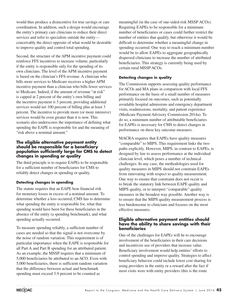would thus produce a disincentive for true savings or care coordination. In addition, such a design would encourage the entity's primary care clinicians to reduce their direct services and refer to specialists outside the entity conceivably the direct opposite of what would be desirable to improve quality and control total spending.

Second, the structure of the APM incentive payment could reinforce FFS incentives to increase volume, particularly if the entity is responsible only for the spending of its own clinicians. The level of the APM incentive payment is based on the clinician's FFS revenue. A clinician who bills more services to Medicare receives a higher APM incentive payment than a clinician who bills fewer services to Medicare. Indeed, if the amount of revenue "at risk" is capped at 2 percent of the entity's own billing and the incentive payment is 5 percent, providing additional services would net 100 percent of billing plus at least 3 percent. The incentive to provide more (or more intensive) services would be even greater than it is now. This scenario also underscores the importance of defining what spending the EAPE is responsible for and the meaning of "risk above a nominal amount."

#### **The eligible alternative payment entity should be responsible for a beneficiary population sufficiently large for CMS to detect changes in spending or quality**

The third principle is to require EAPEs to be responsible for a sufficient number of beneficiaries for CMS to reliably detect changes in spending or quality.

#### **Detecting changes in spending**

The statute requires that an EAPE bear financial risk for monetary losses in excess of a nominal amount. To determine whether a loss occurred, CMS has to determine what spending the entity is responsible for, what that spending would have been for these beneficiaries in the absence of the entity (a spending benchmark), and what spending actually occurred.

To measure spending reliably, a sufficient number of cases are needed so that the signal is not overcome by the noise of random variation. This requirement is of particular importance when the EAPE is responsible for all Part A and Part B spending for an attributed patient. As an example, the MSSP requires that a minimum of 5,000 beneficiaries be attributed to an ACO. Even with 5,000 beneficiaries, there is sufficient random variation that the difference between actual and benchmark spending must exceed 3.9 percent to be counted as

meaningful (in the case of one-sided-risk MSSP ACOs). Requiring EAPEs to be responsible for a minimum number of beneficiaries or cases could further restrict the number of entities that qualify, but otherwise it would be difficult to determine whether a meaningful change in spending occurred. One way to reach a minimum number would be to allow EAPEs to aggregate geographically dispersed clinicians to increase the number of attributed beneficiaries. This strategy is currently being used by certain rural MSSP ACOs.

#### **Detecting changes in quality**

The Commission supports assessing quality performance for ACOs and MA plans in comparison with local FFS performance on the basis of a small number of measures primarily focused on outcomes, such as potentially avoidable hospital admissions and emergency department visits, readmissions, mortality, and patient experience (Medicare Payment Advisory Commission 2014a). To do so, a minimum number of attributable beneficiaries for EAPEs is necessary for CMS to detect changes in performance on these key outcome measures.

MACRA requires that EAPEs have quality measures "comparable" to MIPS. This requirement links the two paths explicitly. However, MIPS, in contrast to EAPEs, is designed by law to assess performance at the individual clinician level, which poses a number of technical challenges. In any case, the methodologies used for quality measures in MIPS should not constrain EAPEs from innovating with respect to quality measurement. One way to ensure that constraint does not occur is to break the statutory link between EAPE quality and MIPS quality, or to interpret "comparable" quality measures in the broadest way possible. Another way is to ensure that the MIPS quality measurement process is less burdensome to clinicians and focuses on the most effective measures.

#### **Eligible alternative payment entities should have the ability to share savings with their beneficiaries**

One of the challenges for EAPEs will be to encourage involvement of the beneficiaries in their care decisions and incentivize use of providers that increase value. Beneficiary involvement would help entities' efforts to control spending and improve quality. Strategies to affect beneficiary behavior could include lower cost sharing for using providers in the entity or a reward after the fact if most visits were with entity providers (this is the route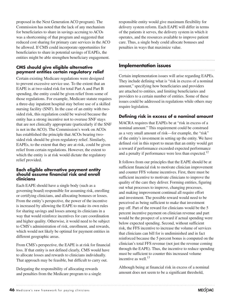proposed in the Next Generation ACO program). The Commission has noted that the lack of any mechanism for beneficiaries to share in savings accruing to ACOs was a shortcoming of that program and suggested that reduced cost sharing for primary care services in the ACO be allowed. If CMS could incorporate opportunities for beneficiaries to share in potential savings of EAPEs, the entities might be able strengthen beneficiary engagement.

#### **CMS should give eligible alternative payment entities certain regulatory relief**

Certain existing Medicare regulations were designed to prevent excessive service use. To the extent that an EAPE is at two-sided risk for total Part A and Part B spending, the entity could be given relief from some of those regulations. For example, Medicare statute requires a three-day inpatient hospital stay before use of a skilled nursing facility (SNF). In the case of an entity with twosided risk, this regulation could be waived because the entity has a strong incentive not to overuse SNF stays that are not clinically appropriate (particularly if the SNF is not in the ACO). The Commission's work on ACOs has established the principle that ACOs bearing twosided risk should be given regulatory relief. Similarly, EAPEs, to the extent that they are at risk, could be given relief from certain regulations. However, the extent to which the entity is at risk would dictate the regulatory relief provided.

#### **Each eligible alternative payment entity should assume financial risk and enroll clinicians**

Each EAPE should have a single body (such as a governing board) responsible for assuming risk, enrolling or certifying clinicians, and allocating bonuses or losses. From the entity's perspective, the power of the incentive is increased by allowing the EAPE to make its own rules for sharing savings and losses among its clinicians in a way that would reinforce incentives for care coordination and higher quality. Otherwise, it would need to be subject to CMS's administration of risk, enrollment, and rewards, which would not likely be optimal for payment entities in different geographic areas.

From CMS's perspective, the EAPE is at risk for financial loss. If that entity is not defined clearly, CMS would have to allocate losses and rewards to clinicians individually. That approach may be feasible, but difficult to carry out.

Delegating the responsibility of allocating rewards and penalties from the Medicare program to a single responsible entity would give maximum flexibility for delivery system reform. Each EAPE will differ in terms of the patients it serves, the delivery system in which it operates, and the resources available to improve patient care. Thus, a single body could allocate bonuses and penalties in ways that maximize value.

### **Implementation issues**

Certain implementation issues will arise regarding EAPEs. They include defining what is "risk in excess of a nominal amount," specifying how beneficiaries and providers are attached to entities, and limiting beneficiaries and providers to a certain number of entities. Some of these issues could be addressed in regulations while others may require legislation.

#### **Defining risk in excess of a nominal amount**

MACRA requires that EAPEs be at "risk in excess of a nominal amount." This requirement could be construed as a very small amount of risk—for example, the "risk" of the entity's investment in setting up the entity. We have defined *risk* in this report to mean that an entity would get a reward if performance exceeded expected performance and a penalty if performance were less than expected.<sup>12</sup>

It follows from our principles that the EAPE should be at sufficient financial risk to motivate clinician improvement and counter FFS volume incentives. First, there must be sufficient incentive to motivate clinicians to improve the quality of the care they deliver. Forming entities, figuring out what processes to improve, changing processes, and making improvement continual all require effort and investment. The possible reward would need to be perceived as being sufficient to make that investment pay off. Part of the reward for clinicians would be the 5 percent incentive payment on clinician revenue and part would be the prospect of a reward if actual spending were below expected spending. Second, without sufficient risk, the FFS incentive to increase the volume of services that clinicians can bill for is undiminished and in fact reinforced because the 5 percent bonus is computed on the clinician's total FFS revenue (not just the revenue coming through the EAPE). Thus, the incentive to reduce spending must be sufficient to counter this increased volume incentive as well. $^{13}$ 

Although being at financial risk in excess of a nominal amount does not seem to be a significant threshold,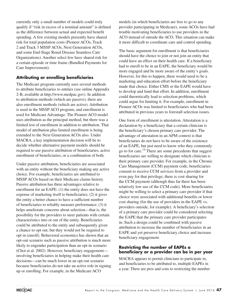currently only a small number of models could truly qualify if "risk in excess of a nominal amount" is defined as the difference between actual and expected benefit spending. A few existing models presently have shared risk for total population costs (Pioneer ACOs, Track 2 and Track 3 MSSP ACOs, Next Generation ACOs, and some End-Stage Renal Disease Seamless Care Organizations). Another select few have shared risk for a certain episode or time frame (Bundled Payments for Care Improvement).

### **Attributing or enrolling beneficiaries**

The Medicare program currently uses several methods to attribute beneficiaries to entities (see online Appendix 2-B, available at http://www.medpac.gov). In addition to attribution methods (which are passive), there are also enrollment methods (which are active). Attribution is used in the MSSP ACO program, and enrollment is used for Medicare Advantage. The Pioneer ACO model uses attribution as the principal method, but there was a limited test of enrollment in addition to attribution. That model of attribution plus limited enrollment is being extended to the Next Generation ACOs also. Under MACRA, a key implementation decision will be to decide whether alternative payment models should be required to use passive attribution of beneficiaries, active enrollment of beneficiaries, or a combination of both.

Under passive attribution, beneficiaries are associated with an entity without the beneficiary making any active choice. For example, beneficiaries are attributed to MSSP ACOs based on their Medicare claims history. Passive attribution has three advantages relative to enrollment for an EAPE: (1) the entity does not have the expense of marketing itself to beneficiaries; (2) it gives the entity a better chance to have a sufficient number of beneficiaries to reliably measure performance; (3) it helps ameliorate concerns about selection—that is, the possibility for the providers to steer patients with certain characteristics into or out of the entity. Beneficiaries could be attributed to the entity and subsequently given a chance to opt out, but they would not be required to opt in (enroll). Behavioral economics has shown that an opt-out scenario such as passive attribution is much more likely to engender participation than an opt-in scenario (Choi et al. 2002). However, beneficiary engagement involving beneficiaries in helping make their health care decisions—can be much lower in an opt-out scenario because beneficiaries do not take an active role in signing up or enrolling. For example, in the Medicare ACO

models (in which beneficiaries are free to go to any provider participating in Medicare), some ACOs have had trouble motivating beneficiaries to use providers in the ACO instead of outside the ACO. This situation can make it more difficult to coordinate care and control spending.

The basic argument for enrollment is that beneficiaries should have the choice to join or not join an entity that could have an effect on their health care. If a beneficiary had to enroll to be in an EAPE, the beneficiary would be more engaged and be more aware of the entity's goals. However, for this to happen, there would need to be a marketing and education effort before the beneficiary made that choice. Either CMS or the EAPE would have to develop and fund that effort. In addition, enrollment could theoretically lead to selection problems, which could argue for limiting it. For example, enrollment in Pioneer ACOs was limited to beneficiaries who had been attributed in previous years to forestall selection issues.

One form of enrollment is attestation. Attestation is a declaration by a beneficiary that a certain clinician is the beneficiary's chosen primary care provider. The advantage of attestation in an APM context is that beneficiaries do not have to be aware of the existence of an EAPE, but just need to know who they commonly go to for care.14 There are some precedents that suggest beneficiaries are willing to designate which clinician is their primary care provider. For example, in the Chronic Care Management (CCM) payment code, beneficiaries consent to receive CCM services from a provider and even pay for that privilege; there is cost sharing for the CCM payment (although thus far there has been relatively low use of the CCM code). More beneficiaries might be willing to select a primary care provider if that choice were associated with additional benefits or lower cost sharing (for the use of providers in the EAPE vs. providers outside, for example). A beneficiary's selection of a primary care provider could be considered selecting the EAPE that the primary care provider participates in. Such a design could be combined with passive attribution to increase the number of beneficiaries in an EAPE and yet preserve beneficiary choice and increase beneficiary engagement.

#### **Restricting the number of EAPEs a beneficiary or a provider can be in per year**

MACRA appears to permit clinicians to participate in, and beneficiaries to be attributed to, multiple EAPEs in a year. There are pros and cons to restricting the number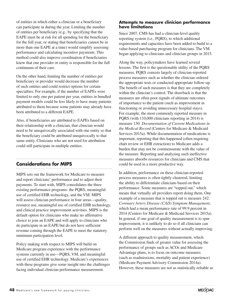of entities in which either a clinician or a beneficiary can participate in during the year. Limiting the number of entities per beneficiary (e.g., by specifying that the EAPE must be at risk for all spending for the beneficiary for the full year, or stating that beneficiaries cannot be in more than one EAPE at a time) would simplify assessing performance and calculating incentive payments. This method could also improve coordination if beneficiaries know that one provider or entity is responsible for the full continuum of their care.

On the other hand, limiting the number of entities per beneficiary or provider would decrease the number of such entities and could restrict options for certain specialties. For example, if the number of EAPEs were limited to only one per patient per year, entities in bundled payment models could be less likely to have many patients attributed to them because some patients may already have been attributed to a different EAPE.

Also, if beneficiaries are attributed to EAPEs based on their relationship with a clinician, that clinician would need to be unequivocally associated with one entity so that the beneficiary could be attributed unequivocally to that same entity. Clinicians who are not used for attribution could still participate in multiple entities.

# **Considerations for MIPS**

MIPS sets out the framework for Medicare to measure and report clinicians' performance and to adjust their payments. To start with, MIPS consolidates the three existing performance programs: the PQRS, meaningful use of certified EHR technology, and the VM. MIPS will assess clinician performance in four areas—quality, resource use, meaningful use of certified EHR technology, and clinical practice improvement activities. MIPS is the default option for clinicians who make no affirmative choice to join an EAPE and will apply to clinicians who do participate in an EAPE but do not have sufficient revenue coming through the EAPE to meet the statutory minimum participation level.

Policy making with respect to MIPS will build on Medicare program experience with the performance systems currently in use—PQRS, VM, and meaningful use of certified EHR technology. Medicare's experiences with these programs give some insight into the challenges facing individual clinician performance measurement.

#### **Attempts to measure clinician performance have limitations**

Since 2007, CMS has had a clinician-level quality reporting system (i.e., PQRS), to which additional requirements and capacities have been added to build to a value-based purchasing program for clinicians. The VM began applying to clinicians and clinician groups in 2015.

Along the way, policymakers have learned several lessons. The first is the questionable utility of the PQRS measures. PQRS consists largely of clinician-reported process measures such as whether the clinician ordered the appropriate tests or conducted appropriate follow-up. The benefit of such measures is that they are completely within the clinician's control. The drawback is that the measures are often poor signals of ultimate outcomes of importance to the patient (such as improvement in functioning or avoiding unnecessary hospital stays). For example, the most commonly reported measure in PQRS (with 110,000 clinicians reporting in 2014) is measure 130: *Documentation of Current Medications in the Medical Record* (Centers for Medicare & Medicaid Services 2015a). While documentation of medications is important, reporting that this happened (often requiring chart review or EHR extraction) to Medicare adds a burden that may not be commensurate with the value of the measure. Reporting and analyzing such ineffective measures absorbs resources for clinicians and CMS that could be used in a more productive way.

In addition, performance on these clinician-reported process measures is often tightly clustered, limiting the ability to differentiate clinicians based on their performance. Some measures are "topped out," which means that virtually all providers report doing them. One example of a measure that is topped out is measure 242: *Coronary Artery Disease (CAD) Symptom Management*, which had a mean performance rate of 99.9 percent in 2014 (Centers for Medicare & Medicaid Services 2015a). In general, if one goal of quality measurement is to spur improvement, it is unlikely to do so if all clinicians can perform well on the measures without actually improving.

A different approach to quality measurement, which the Commission finds of greater value for assessing the performance of groups such as ACOs and Medicare Advantage plans, is to focus on outcome measures (such as readmissions, mortality and patient experience) (Medicare Payment Advisory Commission 2014a). However, these measures are not as statistically reliable as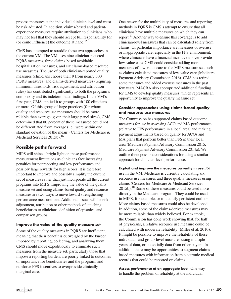process measures at the individual clinician level and must be risk adjusted. In addition, claims-based and patientexperience measures require attribution to clinicians, who may not feel that they should accept full responsibility for (or could influence) the outcome at hand.<sup>15</sup>

CMS has attempted to straddle these two approaches in the current VM. The VM uses nine clinician-reported PQRS measures, three claims-based avoidablehospitalization measures, and six claims-based resource use measures. The use of both clinician-reported quality measures (clinicians choose their 9 from nearly 300 PQRS measures) and claims-derived measures (requiring minimum thresholds, risk adjustment, and attribution rules) has contributed significantly to both the program's complexity and its indeterminate findings. In the VM's first year, CMS applied it to groups with 100 clinicians or more. Of this group of large practices (for whom quality and resource use measures should be more reliable than average, given their large panel sizes), CMS determined that 80 percent of those measured could not be differentiated from average (i.e., were within one standard deviation of the mean) (Centers for Medicare & Medicaid Services 2015b).<sup>16</sup>

### **Possible paths forward**

MIPS will shine a bright light on these performance measurement limitations as clinicians face increasing penalties for nonreporting and low performance and possibly large rewards for high scores. It is therefore important to improve and possibly simplify the current set of measures rather than just incorporate all the current programs into MIPS. Improving the value of the quality measure set and using claims-based quality and resource measures are two ways to move toward strengthening performance measurement. Additional issues will be risk adjustment, attribution or other methods of attaching beneficiaries to clinicians, definition of episodes, and comparison groups.

#### **Improve the value of the quality measure set**

Some of the quality measures in PQRS are inefficient, meaning that their benefit is outweighed by the burden imposed by reporting, collecting, and analyzing them. CMS should move expeditiously to eliminate such measures from the measure set, particularly those that impose a reporting burden, are poorly linked to outcomes of importance for beneficiaries and the program, and reinforce FFS incentives to overprovide clinically marginal care.

One reason for the multiplicity of measures and reporting methods in PQRS is CMS's attempt to ensure that all clinicians have multiple measures on which they can report.17 Another way to ensure this coverage is to add clinician-level measures that can be calculated solely from claims. Of particular importance are measures of overuse or inappropriate care, especially in the FFS environment, where clinicians have a financial incentive to overprovide low-value care. CMS could consider adding more measures of low-value care to the MIPS measure set, such as claims-calculated measures of low-value care (Medicare Payment Advisory Commission 2016). CMS has retired some measures and added overuse measures in the past few years. MACRA also appropriated additional funding for CMS to develop quality measures, which represents an opportunity to improve the quality measure set.

#### **Consider approaches using claims-based quality and resource use measures**

The Commission has supported claims-based outcome measures for use in assessing ACO and MA performance (relative to FFS performance in a local area) and making payment adjustments based on quality for ACOs and MA plans that perform better than FFS in their local area (Medicare Payment Advisory Commission 2015, Medicare Payment Advisory Commission 2014a). We outline three possible considerations for using a similar approach for clinician-level performance.

**Exploit and improve the measures currently in use** For use in the VM, Medicare is currently calculating six resource use measures and three quality measures using claims (Centers for Medicare & Medicaid Services  $2015b$ .<sup>18</sup> Some of these measures could be used more directly in the Medicare program. They could be used in MIPS, for example, or to identify persistent outliers. More claims-based measures could also be developed. In addition, some of the claims-derived measures may be more reliable than widely believed. For example, the Commission has done work showing that, for half of physicians, a relative resource use measure could be calculated with moderate reliability (Miller et al. 2010). It might be possible to improve the reliability of these individual- and group-level measures using multiple years of data, or potentially data from other payers. In addition, there may be opportunities to augment claimsbased measures with information from electronic medical records that could be reported on claims.

**Assess performance at an aggregate level** One way to handle the problem of reliability at the individual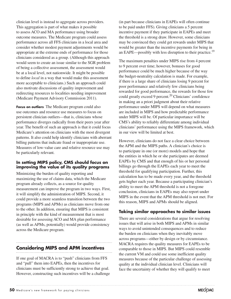clinician level is instead to aggregate across providers. This aggregation is part of what makes it possible to assess ACO and MA performance using broader outcome measures. The Medicare program could assess performance across all FFS clinicians in a local area and consider whether modest payment adjustments would be appropriate at the extreme ends of performance for those clinicians considered as a group. (Although this approach would seem to create an issue similar to the SGR problem of being a collective assessment, the assessment would be at a local level, not nationwide. It might be possible to define *local* in a way that would make this assessment more acceptable to clinicians.) Such an approach could also motivate discussions of quality improvement and redirecting resources to localities needing improvement (Medicare Payment Advisory Commission 2011).

**Focus on outliers** The Medicare program could also use outcomes and resource use measures to focus on persistent clinician outliers—that is, clinicians whose performance diverges radically from their peers year after year. The benefit of such an approach is that it could focus Medicare's attention on clinicians with the most divergent patterns. It also could help identify clinicians with aberrant billing patterns that indicate fraud or inappropriate use. Measures of low-value care and relative resource use may be particularly relevant.

#### **In setting MIPS policy, CMS should focus on improving the value of its quality programs**

Minimizing the burden of quality reporting and maximizing the use of claims data, which the Medicare program already collects, as a source for quality measurement can improve the program in two ways. First, it will simplify the administration of MIPS. Second, it could provide a more seamless transition between the two programs (MIPS and APMs) as clinicians move from one to the other. In addition, ensuring that MIPS is consistent in principle with the kind of measurement that is most desirable for assessing ACO and MA plan performance (as well as APMs, potentially) would provide consistency across the Medicare program.

# **Considering MIPS and APM incentives**

If one goal of MACRA is to "push" clinicians from FFS and "pull" them into EAPEs, then the incentives for clinicians must be sufficiently strong to achieve that goal. However, constructing such incentives will be a challenge

(in part because clinicians in EAPEs will often continue to be paid under FFS). Giving clinicians a 5 percent incentive payment if they participate in EAPEs and meet the threshold is a strong draw. However, some clinicians may be convinced they could get rewards under MIPS that would be greater than the incentive payments for being in an EAPE—possibly with less disruption to their practice.<sup>19</sup>

The maximum penalties under MIPS rise from 4 percent to 9 percent over time; however, bonuses for good performance could be much higher because of the way the budget-neutrality calculation is made. For example, if there is a large share of clinicians losing 9 percent for poor performance and relatively few clinicians being rewarded for good performance, the rewards for those few could greatly exceed 9 percent. $^{20}$  Clinicians' confidence in making an a priori judgment about their relative performance under MIPS will depend on what measures are included in MIPS and how predictable performance under MIPS will be. Of particular importance will be CMS's ability to reliably differentiate among individual clinicians' performance using the MIPS framework, which in our view will be limited at best.

However, clinicians do not face a clear choice between the APM and the MIPS paths. A clinician's choice is to participate in one (or more) models and hope that the entities in which he or she participates are deemed EAPEs by CMS and that enough of his or her personal billings go through the EAPEs each year to meet the threshold for qualifying participation. Further, this calculation has to be made every year, and the threshold gets higher each year. Because a participating clinician's ability to meet the APM threshold is not a foregone conclusion, clinicians in EAPEs may also report under MIPS in the event that the APM threshold is not met. For this reason, MIPS and APMs should be aligned.

#### **Taking similar approaches to similar issues**

There are several considerations that argue for resolving issues that will arise in both MIPS and APMs in similar ways to avoid unintended consequences and to reduce the burden on clinicians when they inevitably move across programs—either by design or by circumstance. MACRA requires the quality measures for EAPEs to be comparable to those in MIPS. But MIPS could resemble the current VM and could use some inefficient quality measures because of the particular challenge of assessing quality at the individual clinician level. Clinicians will face the uncertainty of whether they will qualify to meet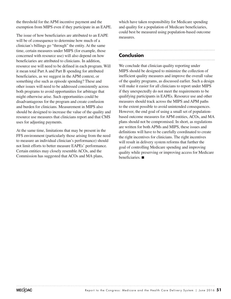the threshold for the APM incentive payment and the exemption from MIPS even if they participate in an EAPE.

The issue of how beneficiaries are attributed to an EAPE will be of consequence to determine how much of a clinician's billings go "through" the entity. At the same time, certain measures under MIPS (for example, those concerned with resource use) will also depend on how beneficiaries are attributed to clinicians. In addition, resource use will need to be defined in each program. Will it mean total Part A and Part B spending for attributed beneficiaries, as we suggest in the APM context, or something else such as episode spending? These and other issues will need to be addressed consistently across both programs to avoid opportunities for arbitrage that might otherwise arise. Such opportunities could be disadvantageous for the program and create confusion and burden for clinicians. Measurement in MIPS also should be designed to increase the value of the quality and resource use measures that clinicians report and that CMS uses for adjusting payments.

At the same time, limitations that may be present in the FFS environment (particularly those arising from the need to measure an individual clinician's performance) should not limit efforts to better measure EAPEs' performance. Certain entities may closely resemble ACOs, and the Commission has suggested that ACOs and MA plans,

which have taken responsibility for Medicare spending and quality for a population of Medicare beneficiaries, could best be measured using population-based outcome measures.

# **Conclusion**

We conclude that clinician quality reporting under MIPS should be designed to minimize the collection of inefficient quality measures and improve the overall value of the quality programs, as discussed earlier. Such a design will make it easier for all clinicians to report under MIPS if they unexpectedly do not meet the requirements to be qualifying participants in EAPEs. Resource use and other measures should track across the MIPS and APM paths to the extent possible to avoid unintended consequences. However, the end goal of using a small set of populationbased outcome measures for APM entities, ACOs, and MA plans should not be compromised. In short, as regulations are written for both APMs and MIPS, these issues and definitions will have to be carefully coordinated to create the right incentives for clinicians. The right incentives will result in delivery system reforms that further the goal of controlling Medicare spending and improving quality while preserving or improving access for Medicare beneficiaries. ■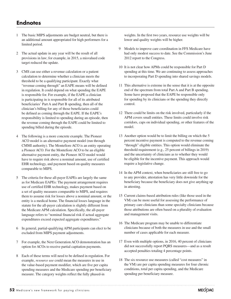# **Endnotes**

- 1 The basic MIPS adjustments are budget neutral, but there is an additional amount appropriated for high performers for a limited period.
- 2 The actual update in any year will be the result of all provisions in law; for example, in 2015, a misvalued code target reduced the update.
- 3 CMS can use either a revenue calculation or a patient calculation to determine whether a clinician meets the threshold to be a qualifying participant. Exactly what "revenue coming through" an EAPE means will be defined in regulation. It could depend on what spending the EAPE is responsible for. For example, if the EAPE a clinician is participating in is responsible for all of its attributed beneficiaries' Part A and Part B spending, then all of the clinician's billing for any of those beneficiaries could be defined as coming through the EAPE. If the EAPE's responsibility is limited to spending during an episode, then the revenue coming through the EAPE could be limited to spending billed during the episode.
- 4 The following is a more concrete example. The Pioneer ACO model is an alternative payment model (run through CMMI authority). The Montefiore ACO is an entity operating a Pioneer ACO. For the Montefiore ACO to be an eligible alternative payment entity, the Pioneer ACO model would have to require risk above a nominal amount, use of certified EHR technology, and payment based on quality measures comparable to MIPS.
- 5 The criteria for these all-payer EAPEs are largely the same as for Medicare EAPEs: The payment arrangement requires use of certified EHR technology, makes payment based on a set of quality measures comparable to MIPS, and requires them to assume risk for losses above a nominal amount, or the entity is a medical home. The financial losses language in the statute for the all-payer calculation is slightly different from the Medicare APM calculation. Specifically, the all-payer language refers to "nominal financial risk if actual aggregate expenditures exceed expected aggregate expenditures."
- 6 In general, partial-qualifying APM participants can elect to be excluded from MIPS payment adjustments.
- 7 For example, the Next Generation ACO demonstration has an option for ACOs to receive partial capitation payments.
- 8 Each of these terms will need to be defined in regulation. For example, *resource use* could mean the measures in use in the value-based payment modifier, which are five per capita spending measures and the Medicare spending per beneficiary measure. The category weights reflect the fully phased-in

weights. In the first two years, resource use weights will be lower and quality weights will be higher.

- 9 Models to improve care coordination in FFS Medicare have had only modest success to date. See the Commission's June 2012 report to the Congress.
- 10 It is not clear how APMs could be responsible for Part D spending at this time. We are continuing to assess approaches to incorporating Part D spending into shared savings models.
- 11 This alternative is extreme in the sense that it is at the opposite end of the spectrum from total Part A and Part B spending. Some have proposed that the EAPE be responsible only for spending by its clinicians or the spending they directly control.
- 12 There could be limits on the risk involved, particularly if the APM covers small entities. These limits could involve risk corridors, caps on individual spending, or other features of the model.
- 13 Another option would be to limit the billing on which the 5 percent incentive payment is computed to the revenue coming "through" eligible entities. This option would eliminate the threshold requirement (e.g., 25 percent of billings in 2019) and the uncertainty of clinicians as to whether they would be eligible for the incentive payment. This approach would require a legislative change.
- 14 In the APM context, when beneficiaries are still free to go to any provider, attestation has very little downside for the beneficiary because the beneficiary does not give anything up in attesting.
- 15 Current claims-based attribution rules (like those used in the VM) can be more useful for assessing the performance of primary care clinicians than some specialty clinicians because those attributions are often based on a plurality of evaluation and management visits.
- 16 The Medicare program may be unable to differentiate clinicians because of both the measures in use and the small number of cases applicable for each measure.
- 17 Even with multiple options, in 2016, 40 percent of clinicians did not successfully report PQRS measures—and as a result accepted penalties totaling 4 percentage points.
- 18 The six resource use measures (called "cost measures" in the VM) are per capita spending measures for four chronic conditions, total per capita spending, and the Medicare spending per beneficiary measure.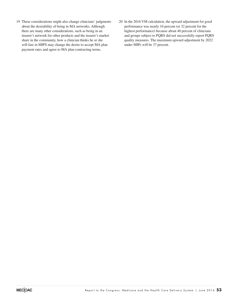- 19 These considerations might also change clinicians' judgments about the desirability of being in MA networks. Although there are many other considerations, such as being in an insurer's network for other products and the insurer's market share in the community, how a clinician thinks he or she will fare in MIPS may change the desire to accept MA plan payment rates and agree to MA plan contracting terms.
- 20 In the 2016 VM calculation, the upward adjustment for good performance was nearly 16 percent (or 32 percent for the highest performance) because about 40 percent of clinicians and groups subject to PQRS did not successfully report PQRS quality measures. The maximum upward adjustment by 2022 under MIPs will be 37 percent.